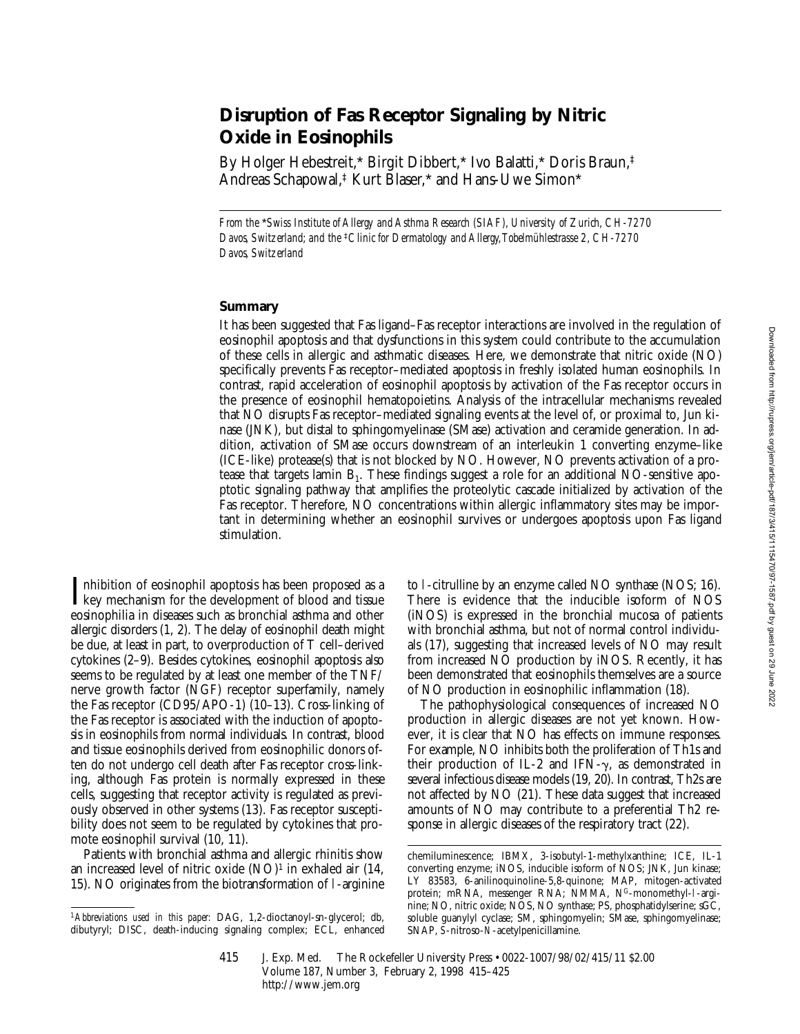# **Disruption of Fas Receptor Signaling by Nitric Oxide in Eosinophils**

By Holger Hebestreit,\* Birgit Dibbert,\* Ivo Balatti,\* Doris Braun,‡ Andreas Schapowal,‡ Kurt Blaser,\* and Hans-Uwe Simon\*

*From the* \**Swiss Institute of Allergy and Asthma Research (SIAF), University of Zurich, CH-7270 Davos, Switzerland; and the* ‡*Clinic for Dermatology and Allergy, Tobelmühlestrasse 2, CH-7270 Davos, Switzerland*

# **Summary**

It has been suggested that Fas ligand–Fas receptor interactions are involved in the regulation of eosinophil apoptosis and that dysfunctions in this system could contribute to the accumulation of these cells in allergic and asthmatic diseases. Here, we demonstrate that nitric oxide (NO) specifically prevents Fas receptor–mediated apoptosis in freshly isolated human eosinophils. In contrast, rapid acceleration of eosinophil apoptosis by activation of the Fas receptor occurs in the presence of eosinophil hematopoietins. Analysis of the intracellular mechanisms revealed that NO disrupts Fas receptor–mediated signaling events at the level of, or proximal to, Jun kinase (JNK), but distal to sphingomyelinase (SMase) activation and ceramide generation. In addition, activation of SMase occurs downstream of an interleukin 1 converting enzyme–like (ICE-like) protease(s) that is not blocked by NO. However, NO prevents activation of a protease that targets lamin B1. These findings suggest a role for an additional NO-sensitive apoptotic signaling pathway that amplifies the proteolytic cascade initialized by activation of the Fas receptor. Therefore, NO concentrations within allergic inflammatory sites may be important in determining whether an eosinophil survives or undergoes apoptosis upon Fas ligand stimulation.

Inhibition of eosinophil apoptosis has been proposed as a<br>key mechanism for the development of blood and tissue<br>eximentilis in discuss such as been shiel others and other Inhibition of eosinophil apoptosis has been proposed as a eosinophilia in diseases such as bronchial asthma and other allergic disorders (1, 2). The delay of eosinophil death might be due, at least in part, to overproduction of T cell–derived cytokines (2–9). Besides cytokines, eosinophil apoptosis also seems to be regulated by at least one member of the TNF/ nerve growth factor (NGF) receptor superfamily, namely the Fas receptor (CD95/APO-1) (10–13). Cross-linking of the Fas receptor is associated with the induction of apoptosis in eosinophils from normal individuals. In contrast, blood and tissue eosinophils derived from eosinophilic donors often do not undergo cell death after Fas receptor cross-linking, although Fas protein is normally expressed in these cells, suggesting that receptor activity is regulated as previously observed in other systems (13). Fas receptor susceptibility does not seem to be regulated by cytokines that promote eosinophil survival (10, 11).

Patients with bronchial asthma and allergic rhinitis show an increased level of nitric oxide  $(NO)^1$  in exhaled air  $(14,$ 15). NO originates from the biotransformation of l-arginine

to l-citrulline by an enzyme called NO synthase (NOS; 16). There is evidence that the inducible isoform of NOS (iNOS) is expressed in the bronchial mucosa of patients with bronchial asthma, but not of normal control individuals (17), suggesting that increased levels of NO may result from increased NO production by iNOS. Recently, it has been demonstrated that eosinophils themselves are a source of NO production in eosinophilic inflammation (18).

The pathophysiological consequences of increased NO production in allergic diseases are not yet known. However, it is clear that NO has effects on immune responses. For example, NO inhibits both the proliferation of Th1s and their production of IL-2 and IFN- $\gamma$ , as demonstrated in several infectious disease models (19, 20). In contrast, Th2s are not affected by NO (21). These data suggest that increased amounts of NO may contribute to a preferential Th2 response in allergic diseases of the respiratory tract (22).

<sup>1</sup>*Abbreviations used in this paper:* DAG, 1,2-dioctanoyl-sn-glycerol; db, dibutyryl; DISC, death-inducing signaling complex; ECL, enhanced

chemiluminescence; IBMX, 3-isobutyl-1-methylxanthine; ICE, IL-1 converting enzyme; iNOS, inducible isoform of NOS; JNK, Jun kinase; LY 83583, 6-anilinoquinoline-5,8-quinone; MAP, mitogen-activated protein; mRNA, messenger RNA; NMMA, N<sup>G</sup>-monomethyl-l-arginine; NO, nitric oxide; NOS, NO synthase; PS, phosphatidylserine; sGC, soluble guanylyl cyclase; SM, sphingomyelin; SMase, sphingomyelinase; SNAP, *S*-nitroso-*N*-acetylpenicillamine.

<sup>415</sup> J. Exp. Med. The Rockefeller University Press • 0022-1007/98/02/415/11 \$2.00 Volume 187, Number 3, February 2, 1998 415–425 http://www.jem.org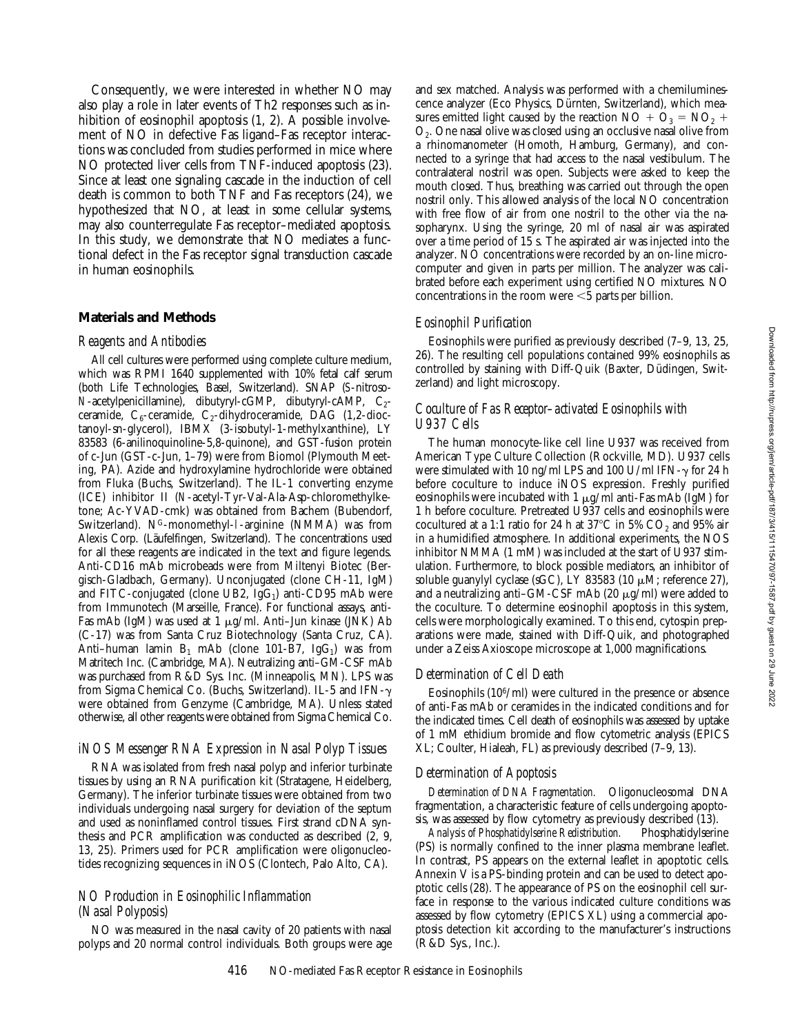Consequently, we were interested in whether NO may also play a role in later events of Th2 responses such as inhibition of eosinophil apoptosis (1, 2). A possible involvement of NO in defective Fas ligand–Fas receptor interactions was concluded from studies performed in mice where NO protected liver cells from TNF-induced apoptosis (23). Since at least one signaling cascade in the induction of cell death is common to both TNF and Fas receptors (24), we hypothesized that NO, at least in some cellular systems, may also counterregulate Fas receptor–mediated apoptosis. In this study, we demonstrate that NO mediates a functional defect in the Fas receptor signal transduction cascade in human eosinophils.

## **Materials and Methods**

#### *Reagents and Antibodies*

All cell cultures were performed using complete culture medium, which was RPMI 1640 supplemented with 10% fetal calf serum (both Life Technologies, Basel, Switzerland). SNAP (*S*-nitroso-*N*-acetylpenicillamine), dibutyryl-cGMP, dibutyryl-cAMP, C<sub>2</sub>ceramide,  $C_6$ -ceramide,  $C_2$ -dihydroceramide, DAG (1,2-dioctanoyl-sn-glycerol), IBMX (3-isobutyl-1-methylxanthine), LY 83583 (6-anilinoquinoline-5,8-quinone), and GST-fusion protein of c-Jun (GST-c-Jun, 1–79) were from Biomol (Plymouth Meeting, PA). Azide and hydroxylamine hydrochloride were obtained from Fluka (Buchs, Switzerland). The IL-1 converting enzyme (ICE) inhibitor II (*N*-acetyl-Tyr-Val-Ala-Asp-chloromethylketone; Ac-YVAD-cmk) was obtained from Bachem (Bubendorf, Switzerland). N<sup>G</sup>-monomethyl-l-arginine (NMMA) was from Alexis Corp. (Läufelfingen, Switzerland). The concentrations used for all these reagents are indicated in the text and figure legends. Anti-CD16 mAb microbeads were from Miltenyi Biotec (Bergisch-Gladbach, Germany). Unconjugated (clone CH-11, IgM) and FITC-conjugated (clone UB2,  $IgG<sub>1</sub>$ ) anti-CD95 mAb were from Immunotech (Marseille, France). For functional assays, anti-Fas mAb (IgM) was used at 1  $\mu$ g/ml. Anti–Jun kinase (JNK) Ab (C-17) was from Santa Cruz Biotechnology (Santa Cruz, CA). Anti–human lamin  $B_1$  mAb (clone 101-B7, IgG<sub>1</sub>) was from Matritech Inc. (Cambridge, MA). Neutralizing anti–GM-CSF mAb was purchased from R&D Sys. Inc. (Minneapolis, MN). LPS was from Sigma Chemical Co. (Buchs, Switzerland). IL-5 and IFN-g were obtained from Genzyme (Cambridge, MA). Unless stated otherwise, all other reagents were obtained from Sigma Chemical Co.

## *iNOS Messenger RNA Expression in Nasal Polyp Tissues*

RNA was isolated from fresh nasal polyp and inferior turbinate tissues by using an RNA purification kit (Stratagene, Heidelberg, Germany). The inferior turbinate tissues were obtained from two individuals undergoing nasal surgery for deviation of the septum and used as noninflamed control tissues. First strand cDNA synthesis and PCR amplification was conducted as described (2, 9, 13, 25). Primers used for PCR amplification were oligonucleotides recognizing sequences in iNOS (Clontech, Palo Alto, CA).

## *NO Production in Eosinophilic Inflammation (Nasal Polyposis)*

NO was measured in the nasal cavity of 20 patients with nasal polyps and 20 normal control individuals. Both groups were age and sex matched. Analysis was performed with a chemiluminescence analyzer (Eco Physics, Dürnten, Switzerland), which measures emitted light caused by the reaction  $NO + O_3 = NO_2 +$ O2. One nasal olive was closed using an occlusive nasal olive from a rhinomanometer (Homoth, Hamburg, Germany), and connected to a syringe that had access to the nasal vestibulum. The contralateral nostril was open. Subjects were asked to keep the mouth closed. Thus, breathing was carried out through the open nostril only. This allowed analysis of the local NO concentration with free flow of air from one nostril to the other via the nasopharynx. Using the syringe, 20 ml of nasal air was aspirated over a time period of 15 s. The aspirated air was injected into the analyzer. NO concentrations were recorded by an on-line microcomputer and given in parts per million. The analyzer was calibrated before each experiment using certified NO mixtures. NO concentrations in the room were  $<$  5 parts per billion.

## *Eosinophil Purification*

Eosinophils were purified as previously described (7–9, 13, 25, 26). The resulting cell populations contained 99% eosinophils as controlled by staining with Diff-Quik (Baxter, Düdingen, Switzerland) and light microscopy.

## *Coculture of Fas Receptor–activated Eosinophils with U937 Cells*

The human monocyte-like cell line U937 was received from American Type Culture Collection (Rockville, MD). U937 cells were stimulated with 10 ng/ml LPS and 100 U/ml IFN- $\gamma$  for 24 h before coculture to induce iNOS expression. Freshly purified eosinophils were incubated with 1  $\mu$ g/ml anti-Fas mAb (IgM) for 1 h before coculture. Pretreated U937 cells and eosinophils were cocultured at a 1:1 ratio for 24 h at  $37^{\circ}$ C in 5% CO<sub>2</sub> and 95% air in a humidified atmosphere. In additional experiments, the NOS inhibitor NMMA (1 mM) was included at the start of U937 stimulation. Furthermore, to block possible mediators, an inhibitor of soluble guanylyl cyclase (sGC), LY 83583 (10  $\mu$ M; reference 27), and a neutralizing anti-GM-CSF mAb (20  $\mu$ g/ml) were added to the coculture. To determine eosinophil apoptosis in this system, cells were morphologically examined. To this end, cytospin preparations were made, stained with Diff-Quik, and photographed under a Zeiss Axioscope microscope at 1,000 magnifications.

## *Determination of Cell Death*

Eosinophils (106/ml) were cultured in the presence or absence of anti-Fas mAb or ceramides in the indicated conditions and for the indicated times. Cell death of eosinophils was assessed by uptake of 1 mM ethidium bromide and flow cytometric analysis (EPICS XL; Coulter, Hialeah, FL) as previously described (7–9, 13).

#### *Determination of Apoptosis*

*Determination of DNA Fragmentation.* Oligonucleosomal DNA fragmentation, a characteristic feature of cells undergoing apoptosis, was assessed by flow cytometry as previously described (13).

*Analysis of Phosphatidylserine Redistribution.* Phosphatidylserine (PS) is normally confined to the inner plasma membrane leaflet. In contrast, PS appears on the external leaflet in apoptotic cells. Annexin V is a PS-binding protein and can be used to detect apoptotic cells (28). The appearance of PS on the eosinophil cell surface in response to the various indicated culture conditions was assessed by flow cytometry (EPICS XL) using a commercial apoptosis detection kit according to the manufacturer's instructions (R&D Sys., Inc.).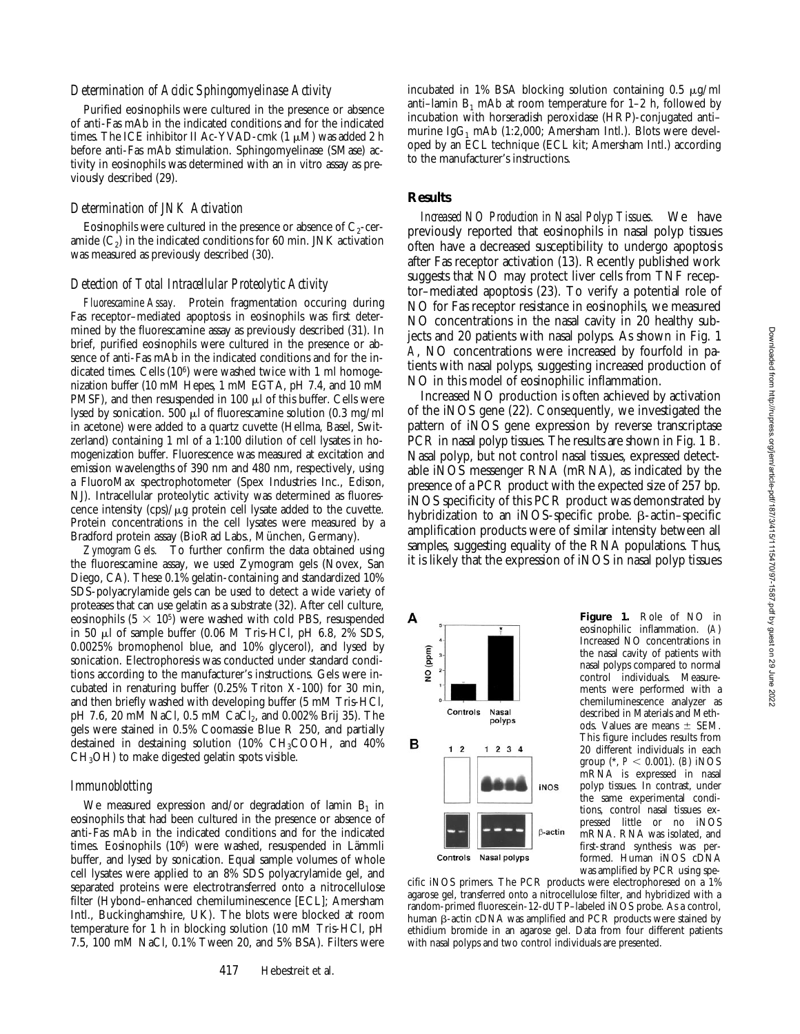#### *Determination of Acidic Sphingomyelinase Activity*

Purified eosinophils were cultured in the presence or absence of anti-Fas mAb in the indicated conditions and for the indicated times. The ICE inhibitor II Ac-YVAD-cmk  $(1 \mu M)$  was added 2 h before anti-Fas mAb stimulation. Sphingomyelinase (SMase) activity in eosinophils was determined with an in vitro assay as previously described (29).

## *Determination of JNK Activation*

Eosinophils were cultured in the presence or absence of  $C_2$ -ceramide  $(C_2)$  in the indicated conditions for 60 min. JNK activation was measured as previously described (30).

#### *Detection of Total Intracellular Proteolytic Activity*

*Fluorescamine Assay.* Protein fragmentation occuring during Fas receptor–mediated apoptosis in eosinophils was first determined by the fluorescamine assay as previously described (31). In brief, purified eosinophils were cultured in the presence or absence of anti-Fas mAb in the indicated conditions and for the indicated times. Cells (10<sup>6</sup>) were washed twice with 1 ml homogenization buffer (10 mM Hepes, 1 mM EGTA, pH 7.4, and 10 mM PMSF), and then resuspended in 100  $\mu$ l of this buffer. Cells were lysed by sonication. 500  $\mu$ l of fluorescamine solution (0.3 mg/ml) in acetone) were added to a quartz cuvette (Hellma, Basel, Switzerland) containing 1 ml of a 1:100 dilution of cell lysates in homogenization buffer. Fluorescence was measured at excitation and emission wavelengths of 390 nm and 480 nm, respectively, using a FluoroMax spectrophotometer (Spex Industries Inc., Edison, NJ). Intracellular proteolytic activity was determined as fluorescence intensity  $(cps)/\mu g$  protein cell lysate added to the cuvette. Protein concentrations in the cell lysates were measured by a Bradford protein assay (BioRad Labs., München, Germany).

*Zymogram Gels.* To further confirm the data obtained using the fluorescamine assay, we used Zymogram gels (Novex, San Diego, CA). These 0.1% gelatin-containing and standardized 10% SDS-polyacrylamide gels can be used to detect a wide variety of proteases that can use gelatin as a substrate (32). After cell culture, eosinophils  $(5 \times 10^5)$  were washed with cold PBS, resuspended in 50  $\mu$ l of sample buffer (0.06 M Tris-HCl, pH 6.8, 2% SDS, 0.0025% bromophenol blue, and 10% glycerol), and lysed by sonication. Electrophoresis was conducted under standard conditions according to the manufacturer's instructions. Gels were incubated in renaturing buffer (0.25% Triton X-100) for 30 min, and then briefly washed with developing buffer (5 mM Tris-HCl, pH 7.6, 20 mM NaCl, 0.5 mM CaCl<sub>2</sub>, and 0.002% Brij 35). The gels were stained in 0.5% Coomassie Blue R 250, and partially destained in destaining solution (10% CH<sub>3</sub>COOH, and 40%  $CH<sub>3</sub>OH$ ) to make digested gelatin spots visible.

#### *Immunoblotting*

We measured expression and/or degradation of lamin  $B_1$  in eosinophils that had been cultured in the presence or absence of anti-Fas mAb in the indicated conditions and for the indicated times. Eosinophils (106) were washed, resuspended in Lämmli buffer, and lysed by sonication. Equal sample volumes of whole cell lysates were applied to an 8% SDS polyacrylamide gel, and separated proteins were electrotransferred onto a nitrocellulose filter (Hybond–enhanced chemiluminescence [ECL]; Amersham Intl., Buckinghamshire, UK). The blots were blocked at room temperature for 1 h in blocking solution (10 mM Tris-HCl, pH 7.5, 100 mM NaCl, 0.1% Tween 20, and 5% BSA). Filters were

incubated in 1% BSA blocking solution containing  $0.5 \mu g/ml$ anti–lamin  $B_1$  mAb at room temperature for 1–2 h, followed by incubation with horseradish peroxidase (HRP)-conjugated anti– murine Ig $G_1$  mAb (1:2,000; Amersham Intl.). Blots were developed by an ECL technique (ECL kit; Amersham Intl.) according to the manufacturer's instructions.

#### **Results**

*Increased NO Production in Nasal Polyp Tissues.* We have previously reported that eosinophils in nasal polyp tissues often have a decreased susceptibility to undergo apoptosis after Fas receptor activation (13). Recently published work suggests that NO may protect liver cells from TNF receptor–mediated apoptosis (23). To verify a potential role of NO for Fas receptor resistance in eosinophils, we measured NO concentrations in the nasal cavity in 20 healthy subjects and 20 patients with nasal polyps. As shown in Fig. 1 *A*, NO concentrations were increased by fourfold in patients with nasal polyps, suggesting increased production of NO in this model of eosinophilic inflammation.

Increased NO production is often achieved by activation of the iNOS gene (22). Consequently, we investigated the pattern of iNOS gene expression by reverse transcriptase PCR in nasal polyp tissues. The results are shown in Fig. 1 *B.* Nasal polyp, but not control nasal tissues, expressed detectable iNOS messenger RNA (mRNA), as indicated by the presence of a PCR product with the expected size of 257 bp. iNOS specificity of this PCR product was demonstrated by hybridization to an  $iNOS$ -specific probe.  $\beta$ -actin–specific amplification products were of similar intensity between all samples, suggesting equality of the RNA populations. Thus, it is likely that the expression of iNOS in nasal polyp tissues



**Figure 1.** Role of NO in eosinophilic inflammation. (*A*) Increased NO concentrations in the nasal cavity of patients with nasal polyps compared to normal control individuals. Measurements were performed with a chemiluminescence analyzer as described in Materials and Methods. Values are means  $\pm$  SEM. This figure includes results from 20 different individuals in each group  $(*, P < 0.001)$ . (*B*) iNOS mRNA is expressed in nasal polyp tissues. In contrast, under the same experimental conditions, control nasal tissues expressed little or no iNOS mRNA. RNA was isolated, and first-strand synthesis was performed. Human iNOS cDNA was amplified by PCR using spe-

cific iNOS primers. The PCR products were electrophoresed on a 1% agarose gel, transferred onto a nitrocellulose filter, and hybridized with a random-primed fluorescein-12-dUTP–labeled iNOS probe. As a control, human  $\beta$ -actin cDNA was amplified and PCR products were stained by ethidium bromide in an agarose gel. Data from four different patients with nasal polyps and two control individuals are presented.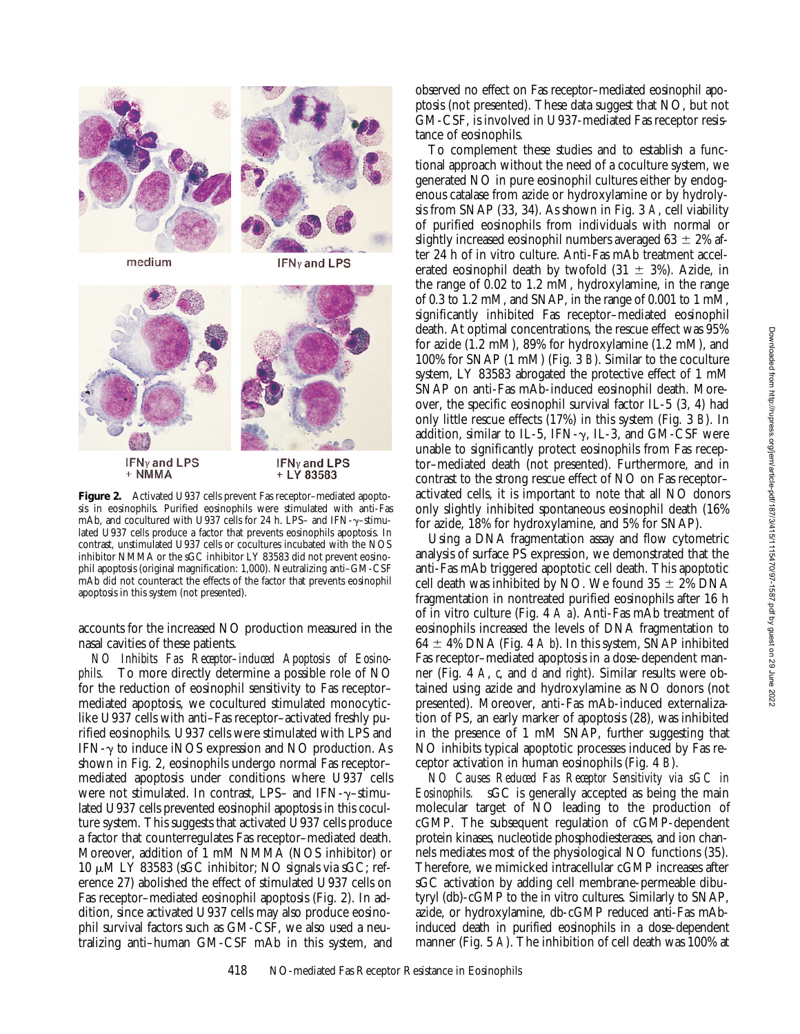

medium





IFN<sub>y</sub> and LPS + NMMA

 $IFN<sub>Y</sub>$  and LPS<br>+ LY 83583

**Figure 2.** Activated U937 cells prevent Fas receptor–mediated apoptosis in eosinophils. Purified eosinophils were stimulated with anti-Fas mAb, and cocultured with U937 cells for 24 h. LPS– and IFN- $\gamma$ –stimulated U937 cells produce a factor that prevents eosinophils apoptosis. In contrast, unstimulated U937 cells or cocultures incubated with the NOS inhibitor NMMA or the sGC inhibitor LY 83583 did not prevent eosinophil apoptosis (original magnification: 1,000). Neutralizing anti–GM-CSF mAb did not counteract the effects of the factor that prevents eosinophil apoptosis in this system (not presented).

accounts for the increased NO production measured in the nasal cavities of these patients.

*NO Inhibits Fas Receptor–induced Apoptosis of Eosinophils.* To more directly determine a possible role of NO for the reduction of eosinophil sensitivity to Fas receptor– mediated apoptosis, we cocultured stimulated monocyticlike U937 cells with anti–Fas receptor–activated freshly purified eosinophils. U937 cells were stimulated with LPS and  $IFN-\gamma$  to induce iNOS expression and NO production. As shown in Fig. 2, eosinophils undergo normal Fas receptor– mediated apoptosis under conditions where U937 cells were not stimulated. In contrast, LPS– and IFN- $\gamma$ –stimulated U937 cells prevented eosinophil apoptosis in this coculture system. This suggests that activated U937 cells produce a factor that counterregulates Fas receptor–mediated death. Moreover, addition of 1 mM NMMA (NOS inhibitor) or 10  $\mu$ M LY 83583 (sGC inhibitor; NO signals via sGC; reference 27) abolished the effect of stimulated U937 cells on Fas receptor–mediated eosinophil apoptosis (Fig. 2). In addition, since activated U937 cells may also produce eosinophil survival factors such as GM-CSF, we also used a neutralizing anti–human GM-CSF mAb in this system, and observed no effect on Fas receptor–mediated eosinophil apoptosis (not presented). These data suggest that NO, but not GM-CSF, is involved in U937-mediated Fas receptor resistance of eosinophils.

To complement these studies and to establish a functional approach without the need of a coculture system, we generated NO in pure eosinophil cultures either by endogenous catalase from azide or hydroxylamine or by hydrolysis from SNAP (33, 34). As shown in Fig. 3 *A*, cell viability of purified eosinophils from individuals with normal or slightly increased eosinophil numbers averaged  $63 \pm 2\%$  after 24 h of in vitro culture. Anti-Fas mAb treatment accelerated eosinophil death by twofold  $(31 \pm 3%)$ . Azide, in the range of 0.02 to 1.2 mM, hydroxylamine, in the range of 0.3 to 1.2 mM, and SNAP, in the range of 0.001 to 1 mM, significantly inhibited Fas receptor–mediated eosinophil death. At optimal concentrations, the rescue effect was 95% for azide (1.2 mM), 89% for hydroxylamine (1.2 mM), and 100% for SNAP (1 mM) (Fig. 3 *B*). Similar to the coculture system, LY 83583 abrogated the protective effect of 1 mM SNAP on anti-Fas mAb-induced eosinophil death. Moreover, the specific eosinophil survival factor IL-5 (3, 4) had only little rescue effects (17%) in this system (Fig. 3 *B*). In addition, similar to IL-5, IFN- $\gamma$ , IL-3, and GM-CSF were unable to significantly protect eosinophils from Fas receptor–mediated death (not presented). Furthermore, and in contrast to the strong rescue effect of NO on Fas receptor– activated cells, it is important to note that all NO donors only slightly inhibited spontaneous eosinophil death (16% for azide, 18% for hydroxylamine, and 5% for SNAP).

Using a DNA fragmentation assay and flow cytometric analysis of surface PS expression, we demonstrated that the anti-Fas mAb triggered apoptotic cell death. This apoptotic cell death was inhibited by NO. We found  $35 \pm 2\%$  DNA fragmentation in nontreated purified eosinophils after 16 h of in vitro culture (Fig. 4 *A a*). Anti-Fas mAb treatment of eosinophils increased the levels of DNA fragmentation to  $64 \pm 4\%$  DNA (Fig. 4 *A b*). In this system, SNAP inhibited Fas receptor–mediated apoptosis in a dose-dependent manner (Fig. 4 *A*, *c*, and *d* and *right*). Similar results were obtained using azide and hydroxylamine as NO donors (not presented). Moreover, anti-Fas mAb-induced externalization of PS, an early marker of apoptosis (28), was inhibited in the presence of 1 mM SNAP, further suggesting that NO inhibits typical apoptotic processes induced by Fas receptor activation in human eosinophils (Fig. 4 *B*).

*NO Causes Reduced Fas Receptor Sensitivity via sGC in Eosinophils.* sGC is generally accepted as being the main molecular target of NO leading to the production of cGMP. The subsequent regulation of cGMP-dependent protein kinases, nucleotide phosphodiesterases, and ion channels mediates most of the physiological NO functions (35). Therefore, we mimicked intracellular cGMP increases after sGC activation by adding cell membrane-permeable dibutyryl (db)-cGMP to the in vitro cultures. Similarly to SNAP, azide, or hydroxylamine, db-cGMP reduced anti-Fas mAbinduced death in purified eosinophils in a dose-dependent manner (Fig. 5 *A*). The inhibition of cell death was 100% at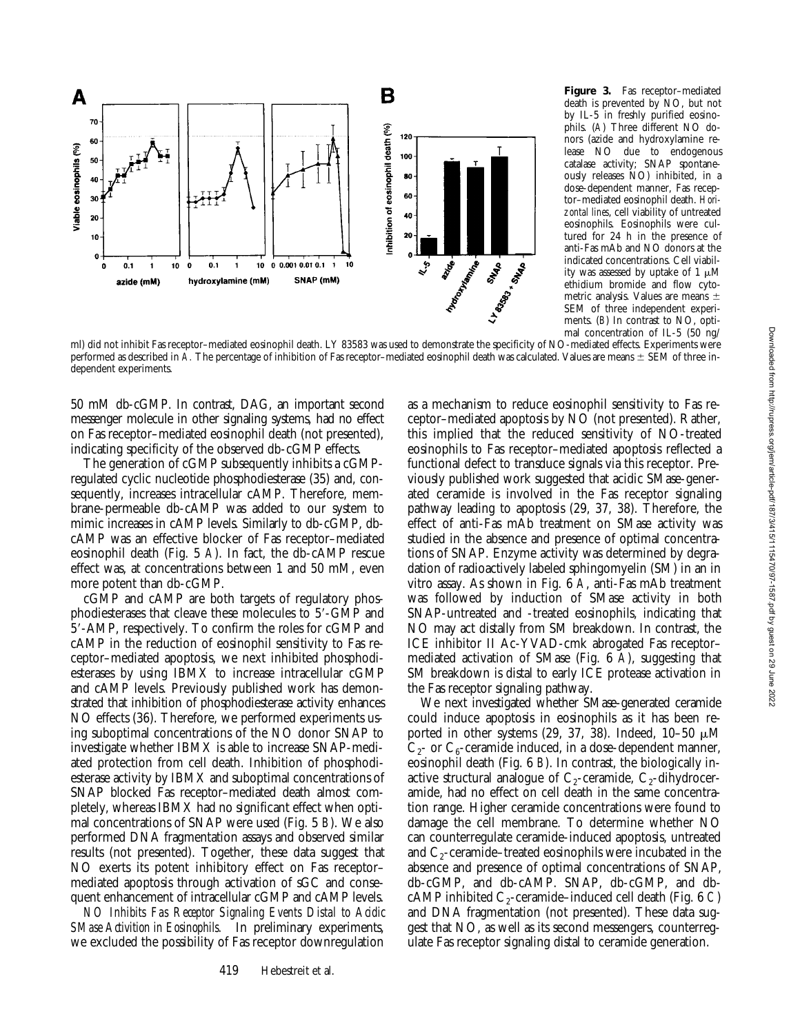

**Figure 3.** Fas receptor–mediated death is prevented by NO, but not by IL-5 in freshly purified eosinophils. (*A*) Three different NO donors (azide and hydroxylamine release NO due to endogenous catalase activity; SNAP spontaneously releases NO) inhibited, in a dose-dependent manner, Fas receptor–mediated eosinophil death. *Horizontal lines*, cell viability of untreated eosinophils. Eosinophils were cultured for 24 h in the presence of anti-Fas mAb and NO donors at the indicated concentrations. Cell viability was assessed by uptake of 1  $\mu$ M ethidium bromide and flow cytometric analysis. Values are means  $\pm$ SEM of three independent experiments. (*B*) In contrast to NO, optimal concentration of IL-5 (50 ng/

ml) did not inhibit Fas receptor–mediated eosinophil death. LY 83583 was used to demonstrate the specificity of NO-mediated effects. Experiments were performed as described in  $\dot{A}$ . The percentage of inhibition of Fas receptor–mediated eosinophil death was calculated. Values are means  $\pm$  SEM of three independent experiments.

50 mM db-cGMP. In contrast, DAG, an important second messenger molecule in other signaling systems, had no effect on Fas receptor–mediated eosinophil death (not presented), indicating specificity of the observed db-cGMP effects.

The generation of cGMP subsequently inhibits a cGMPregulated cyclic nucleotide phosphodiesterase (35) and, consequently, increases intracellular cAMP. Therefore, membrane-permeable db-cAMP was added to our system to mimic increases in cAMP levels. Similarly to db-cGMP, dbcAMP was an effective blocker of Fas receptor–mediated eosinophil death (Fig. 5 *A*). In fact, the db-cAMP rescue effect was, at concentrations between 1 and 50 mM, even more potent than db-cGMP.

cGMP and cAMP are both targets of regulatory phosphodiesterases that cleave these molecules to 5'-GMP and 5'-AMP, respectively. To confirm the roles for cGMP and cAMP in the reduction of eosinophil sensitivity to Fas receptor–mediated apoptosis, we next inhibited phosphodiesterases by using IBMX to increase intracellular cGMP and cAMP levels. Previously published work has demonstrated that inhibition of phosphodiesterase activity enhances NO effects (36). Therefore, we performed experiments using suboptimal concentrations of the NO donor SNAP to investigate whether IBMX is able to increase SNAP-mediated protection from cell death. Inhibition of phosphodiesterase activity by IBMX and suboptimal concentrations of SNAP blocked Fas receptor–mediated death almost completely, whereas IBMX had no significant effect when optimal concentrations of SNAP were used (Fig. 5 *B*). We also performed DNA fragmentation assays and observed similar results (not presented). Together, these data suggest that NO exerts its potent inhibitory effect on Fas receptor– mediated apoptosis through activation of sGC and consequent enhancement of intracellular cGMP and cAMP levels.

*NO Inhibits Fas Receptor Signaling Events Distal to Acidic SMase Activition in Eosinophils.* In preliminary experiments, we excluded the possibility of Fas receptor downregulation

as a mechanism to reduce eosinophil sensitivity to Fas receptor–mediated apoptosis by NO (not presented). Rather, this implied that the reduced sensitivity of NO-treated eosinophils to Fas receptor–mediated apoptosis reflected a functional defect to transduce signals via this receptor. Previously published work suggested that acidic SMase-generated ceramide is involved in the Fas receptor signaling pathway leading to apoptosis (29, 37, 38). Therefore, the effect of anti-Fas mAb treatment on SMase activity was studied in the absence and presence of optimal concentrations of SNAP. Enzyme activity was determined by degradation of radioactively labeled sphingomyelin (SM) in an in vitro assay. As shown in Fig. 6 *A*, anti-Fas mAb treatment was followed by induction of SMase activity in both SNAP-untreated and -treated eosinophils, indicating that NO may act distally from SM breakdown. In contrast, the ICE inhibitor II Ac-YVAD-cmk abrogated Fas receptor– mediated activation of SMase (Fig. 6 *A*), suggesting that SM breakdown is distal to early ICE protease activation in the Fas receptor signaling pathway.

We next investigated whether SMase-generated ceramide could induce apoptosis in eosinophils as it has been reported in other systems (29, 37, 38). Indeed,  $10-50 \mu M$  $C_{2}$ - or  $C_{6}$ -ceramide induced, in a dose-dependent manner, eosinophil death (Fig. 6 *B*). In contrast, the biologically inactive structural analogue of  $C_2$ -ceramide,  $C_2$ -dihydroceramide, had no effect on cell death in the same concentration range. Higher ceramide concentrations were found to damage the cell membrane. To determine whether NO can counterregulate ceramide-induced apoptosis, untreated and  $C_2$ -ceramide–treated eosinophils were incubated in the absence and presence of optimal concentrations of SNAP, db-cGMP, and db-cAMP. SNAP, db-cGMP, and dbcAMP inhibited C<sub>2</sub>-ceramide–induced cell death (Fig. 6 *C*) and DNA fragmentation (not presented). These data suggest that NO, as well as its second messengers, counterregulate Fas receptor signaling distal to ceramide generation.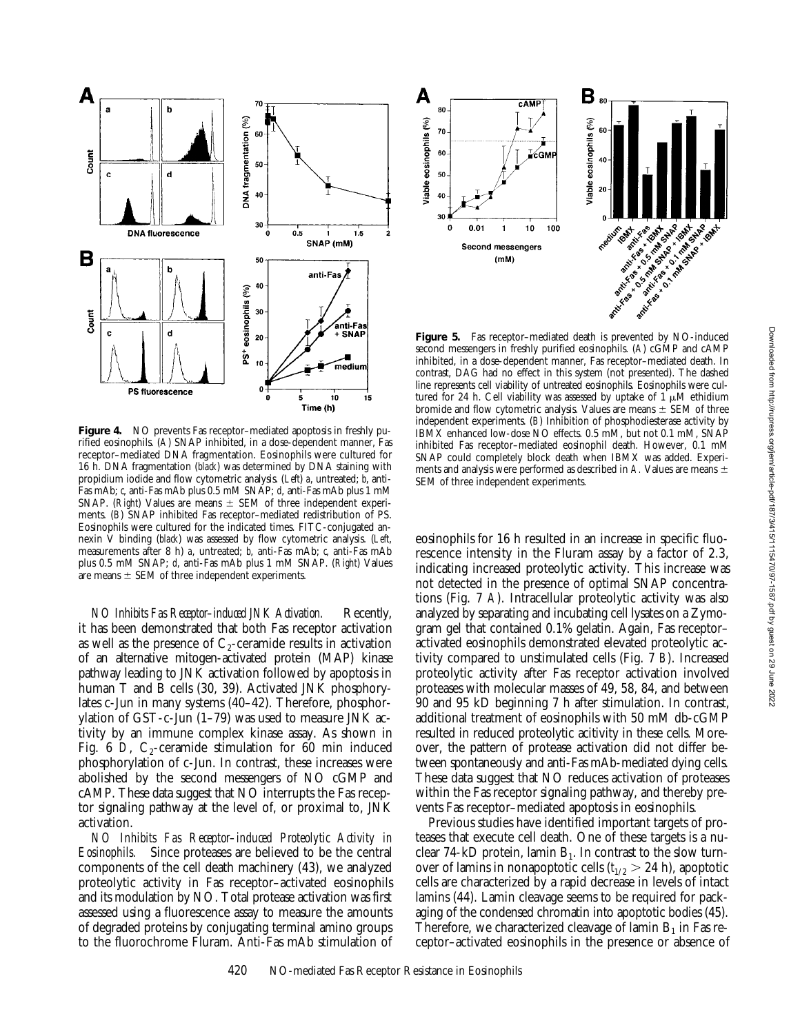

**Figure 4.** NO prevents Fas receptor–mediated apoptosis in freshly purified eosinophils. (*A*) SNAP inhibited, in a dose-dependent manner, Fas receptor–mediated DNA fragmentation. Eosinophils were cultured for 16 h. DNA fragmentation (*black*) was determined by DNA staining with propidium iodide and flow cytometric analysis. (*Left*) *a*, untreated; *b*, anti-Fas mAb; *c*, anti-Fas mAb plus 0.5 mM SNAP; *d*, anti-Fas mAb plus 1 mM SNAP. (*Right*) Values are means  $\pm$  SEM of three independent experiments. (*B*) SNAP inhibited Fas receptor–mediated redistribution of PS. Eosinophils were cultured for the indicated times. FITC-conjugated annexin V binding (*black*) was assessed by flow cytometric analysis. (*Left*, measurements after 8 h) *a*, untreated; *b*, anti-Fas mAb; *c*, anti-Fas mAb plus 0.5 mM SNAP; *d*, anti-Fas mAb plus 1 mM SNAP. (*Right*) Values are means  $\pm$  SEM of three independent experiments.

*NO Inhibits Fas Receptor–induced JNK Activation.* Recently, it has been demonstrated that both Fas receptor activation as well as the presence of  $C_2$ -ceramide results in activation of an alternative mitogen-activated protein (MAP) kinase pathway leading to JNK activation followed by apoptosis in human T and B cells (30, 39). Activated JNK phosphorylates c-Jun in many systems (40–42). Therefore, phosphorylation of GST-c-Jun (1–79) was used to measure JNK activity by an immune complex kinase assay. As shown in Fig. 6 *D*,  $C_2$ -ceramide stimulation for 60 min induced phosphorylation of c-Jun. In contrast, these increases were abolished by the second messengers of NO cGMP and cAMP. These data suggest that NO interrupts the Fas receptor signaling pathway at the level of, or proximal to, JNK activation.

*NO Inhibits Fas Receptor–induced Proteolytic Activity in Eosinophils.* Since proteases are believed to be the central components of the cell death machinery (43), we analyzed proteolytic activity in Fas receptor–activated eosinophils and its modulation by NO. Total protease activation was first assessed using a fluorescence assay to measure the amounts of degraded proteins by conjugating terminal amino groups to the fluorochrome Fluram. Anti-Fas mAb stimulation of



**Figure 5.** Fas receptor–mediated death is prevented by NO-induced second messengers in freshly purified eosinophils. (*A*) cGMP and cAMP inhibited, in a dose-dependent manner, Fas receptor–mediated death. In contrast, DAG had no effect in this system (not presented). The dashed line represents cell viability of untreated eosinophils. Eosinophils were cultured for 24 h. Cell viability was assessed by uptake of  $1 \mu M$  ethidium bromide and flow cytometric analysis. Values are means  $\pm$  SEM of three independent experiments. (*B*) Inhibition of phosphodiesterase activity by IBMX enhanced low-dose NO effects. 0.5 mM, but not 0.1 mM, SNAP inhibited Fas receptor–mediated eosinophil death. However, 0.1 mM SNAP could completely block death when IBMX was added. Experiments and analysis were performed as described in *A*. Values are means  $\pm$ SEM of three independent experiments.

eosinophils for 16 h resulted in an increase in specific fluorescence intensity in the Fluram assay by a factor of 2.3, indicating increased proteolytic activity. This increase was not detected in the presence of optimal SNAP concentrations (Fig. 7 *A*). Intracellular proteolytic activity was also analyzed by separating and incubating cell lysates on a Zymogram gel that contained 0.1% gelatin. Again, Fas receptor– activated eosinophils demonstrated elevated proteolytic activity compared to unstimulated cells (Fig. 7 *B*). Increased proteolytic activity after Fas receptor activation involved proteases with molecular masses of 49, 58, 84, and between 90 and 95 kD beginning 7 h after stimulation. In contrast, additional treatment of eosinophils with 50 mM db-cGMP resulted in reduced proteolytic acitivity in these cells. Moreover, the pattern of protease activation did not differ between spontaneously and anti-Fas mAb-mediated dying cells. These data suggest that NO reduces activation of proteases within the Fas receptor signaling pathway, and thereby prevents Fas receptor–mediated apoptosis in eosinophils.

Previous studies have identified important targets of proteases that execute cell death. One of these targets is a nuclear 74-kD protein, lamin  $B_1$ . In contrast to the slow turnover of lamins in nonapoptotic cells  $(t_{1/2} > 24 \text{ h})$ , apoptotic cells are characterized by a rapid decrease in levels of intact lamins (44). Lamin cleavage seems to be required for packaging of the condensed chromatin into apoptotic bodies (45). Therefore, we characterized cleavage of lamin  $B_1$  in Fas receptor–activated eosinophils in the presence or absence of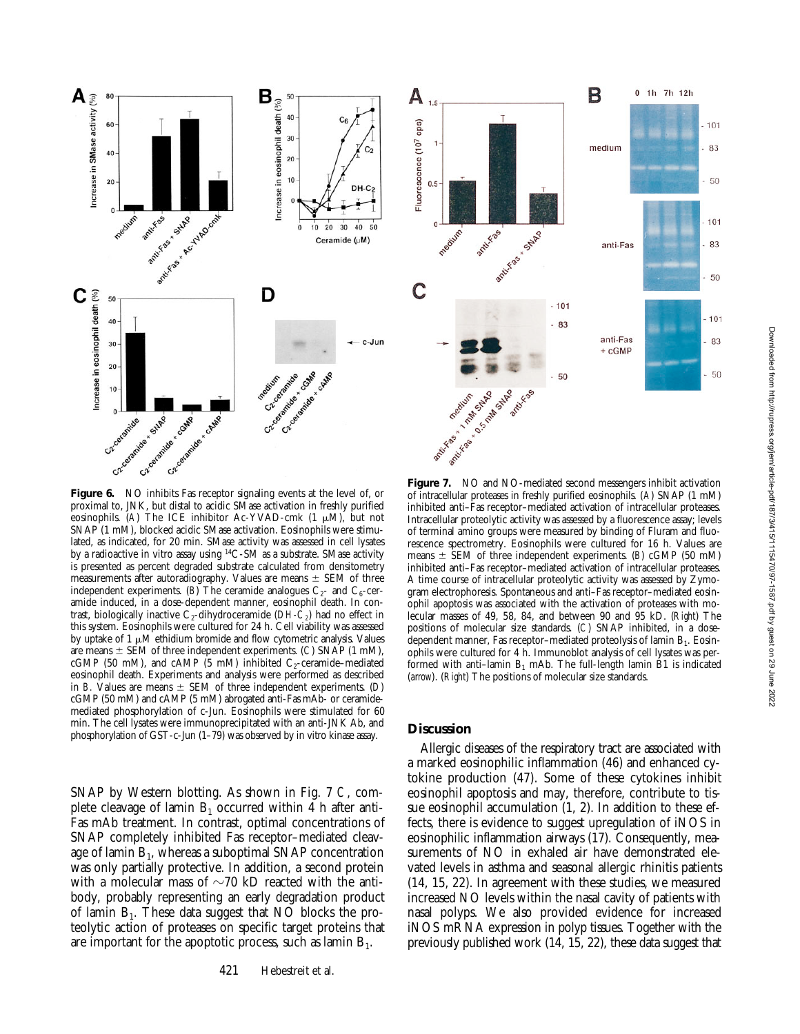

Figure 6. NO inhibits Fas receptor signaling events at the level of, or proximal to, JNK, but distal to acidic SMase activation in freshly purified eosinophils. (A) The ICE inhibitor Ac-YVAD-cmk  $(1 \mu M)$ , but not SNAP (1 mM), blocked acidic SMase activation. Eosinophils were stimulated, as indicated, for 20 min. SMase activity was assessed in cell lysates by a radioactive in vitro assay using 14C-SM as a substrate. SMase activity is presented as percent degraded substrate calculated from densitometry measurements after autoradiography. Values are means  $\pm$  SEM of three independent experiments. (*B*) The ceramide analogues  $C_2$ - and  $C_6$ -ceramide induced, in a dose-dependent manner, eosinophil death. In contrast, biologically inactive  $C_2$ -dihydroceramide ( $DH-C_2$ ) had no effect in this system. Eosinophils were cultured for 24 h. Cell viability was assessed by uptake of 1  $\mu$ M ethidium bromide and flow cytometric analysis. Values are means  $\pm$  SEM of three independent experiments. (*C*) SNAP (1 mM), cGMP (50 mM), and cAMP (5 mM) inhibited  $C_2$ -ceramide–mediated eosinophil death. Experiments and analysis were performed as described in *B*. Values are means  $\pm$  SEM of three independent experiments. (*D*) cGMP (50 mM) and cAMP (5 mM) abrogated anti-Fas mAb- or ceramidemediated phosphorylation of c-Jun. Eosinophils were stimulated for 60 min. The cell lysates were immunoprecipitated with an anti-JNK Ab, and phosphorylation of GST-c-Jun (1–79) was observed by in vitro kinase assay.

SNAP by Western blotting. As shown in Fig. 7 *C*, complete cleavage of lamin  $B_1$  occurred within 4 h after anti-Fas mAb treatment. In contrast, optimal concentrations of SNAP completely inhibited Fas receptor–mediated cleavage of lamin  $B_1$ , whereas a suboptimal SNAP concentration was only partially protective. In addition, a second protein with a molecular mass of  $\sim$ 70 kD reacted with the antibody, probably representing an early degradation product of lamin  $B_1$ . These data suggest that NO blocks the proteolytic action of proteases on specific target proteins that are important for the apoptotic process, such as lamin  $B_1$ .



**Figure 7.** NO and NO-mediated second messengers inhibit activation of intracellular proteases in freshly purified eosinophils. (*A*) SNAP (1 mM) inhibited anti–Fas receptor–mediated activation of intracellular proteases. Intracellular proteolytic activity was assessed by a fluorescence assay; levels of terminal amino groups were measured by binding of Fluram and fluorescence spectrometry. Eosinophils were cultured for 16 h. Values are means  $\pm$  SEM of three independent experiments. (*B*) cGMP (50 mM) inhibited anti–Fas receptor–mediated activation of intracellular proteases. A time course of intracellular proteolytic activity was assessed by Zymogram electrophoresis. Spontaneous and anti–Fas receptor–mediated eosinophil apoptosis was associated with the activation of proteases with molecular masses of 49, 58, 84, and between 90 and 95 kD. (*Right*) The positions of molecular size standards. (*C*) SNAP inhibited, in a dosedependent manner, Fas receptor-mediated proteolysis of lamin  $B_1$ . Eosinophils were cultured for 4 h. Immunoblot analysis of cell lysates was performed with anti-lamin  $B_1$  mAb. The full-length lamin B1 is indicated (*arrow*). (*Right*) The positions of molecular size standards.

## **Discussion**

Allergic diseases of the respiratory tract are associated with a marked eosinophilic inflammation (46) and enhanced cytokine production (47). Some of these cytokines inhibit eosinophil apoptosis and may, therefore, contribute to tissue eosinophil accumulation (1, 2). In addition to these effects, there is evidence to suggest upregulation of iNOS in eosinophilic inflammation airways (17). Consequently, measurements of NO in exhaled air have demonstrated elevated levels in asthma and seasonal allergic rhinitis patients (14, 15, 22). In agreement with these studies, we measured increased NO levels within the nasal cavity of patients with nasal polyps. We also provided evidence for increased iNOS mRNA expression in polyp tissues. Together with the previously published work (14, 15, 22), these data suggest that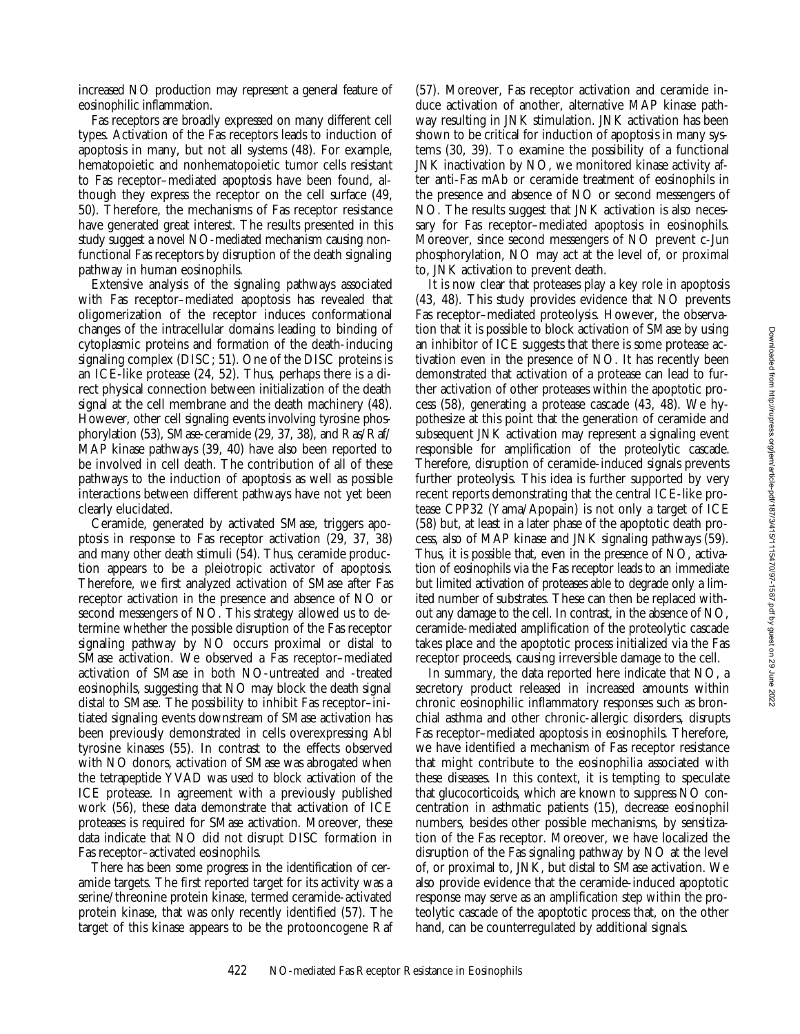increased NO production may represent a general feature of eosinophilic inflammation.

Fas receptors are broadly expressed on many different cell types. Activation of the Fas receptors leads to induction of apoptosis in many, but not all systems (48). For example, hematopoietic and nonhematopoietic tumor cells resistant to Fas receptor–mediated apoptosis have been found, although they express the receptor on the cell surface (49, 50). Therefore, the mechanisms of Fas receptor resistance have generated great interest. The results presented in this study suggest a novel NO-mediated mechanism causing nonfunctional Fas receptors by disruption of the death signaling pathway in human eosinophils.

Extensive analysis of the signaling pathways associated with Fas receptor–mediated apoptosis has revealed that oligomerization of the receptor induces conformational changes of the intracellular domains leading to binding of cytoplasmic proteins and formation of the death-inducing signaling complex (DISC; 51). One of the DISC proteins is an ICE-like protease (24, 52). Thus, perhaps there is a direct physical connection between initialization of the death signal at the cell membrane and the death machinery (48). However, other cell signaling events involving tyrosine phosphorylation (53), SMase-ceramide (29, 37, 38), and Ras/Raf/ MAP kinase pathways (39, 40) have also been reported to be involved in cell death. The contribution of all of these pathways to the induction of apoptosis as well as possible interactions between different pathways have not yet been clearly elucidated.

Ceramide, generated by activated SMase, triggers apoptosis in response to Fas receptor activation (29, 37, 38) and many other death stimuli (54). Thus, ceramide production appears to be a pleiotropic activator of apoptosis. Therefore, we first analyzed activation of SMase after Fas receptor activation in the presence and absence of NO or second messengers of NO. This strategy allowed us to determine whether the possible disruption of the Fas receptor signaling pathway by NO occurs proximal or distal to SMase activation. We observed a Fas receptor–mediated activation of SMase in both NO-untreated and -treated eosinophils, suggesting that NO may block the death signal distal to SMase. The possibility to inhibit Fas receptor–initiated signaling events downstream of SMase activation has been previously demonstrated in cells overexpressing Abl tyrosine kinases (55). In contrast to the effects observed with NO donors, activation of SMase was abrogated when the tetrapeptide YVAD was used to block activation of the ICE protease. In agreement with a previously published work (56), these data demonstrate that activation of ICE proteases is required for SMase activation. Moreover, these data indicate that NO did not disrupt DISC formation in Fas receptor–activated eosinophils.

There has been some progress in the identification of ceramide targets. The first reported target for its activity was a serine/threonine protein kinase, termed ceramide-activated protein kinase, that was only recently identified (57). The target of this kinase appears to be the protooncogene Raf

(57). Moreover, Fas receptor activation and ceramide induce activation of another, alternative MAP kinase pathway resulting in JNK stimulation. JNK activation has been shown to be critical for induction of apoptosis in many systems (30, 39). To examine the possibility of a functional JNK inactivation by NO, we monitored kinase activity after anti-Fas mAb or ceramide treatment of eosinophils in the presence and absence of NO or second messengers of NO. The results suggest that JNK activation is also necessary for Fas receptor–mediated apoptosis in eosinophils. Moreover, since second messengers of NO prevent c-Jun phosphorylation, NO may act at the level of, or proximal to, JNK activation to prevent death.

It is now clear that proteases play a key role in apoptosis (43, 48). This study provides evidence that NO prevents Fas receptor–mediated proteolysis. However, the observation that it is possible to block activation of SMase by using an inhibitor of ICE suggests that there is some protease activation even in the presence of NO. It has recently been demonstrated that activation of a protease can lead to further activation of other proteases within the apoptotic process (58), generating a protease cascade (43, 48). We hypothesize at this point that the generation of ceramide and subsequent JNK activation may represent a signaling event responsible for amplification of the proteolytic cascade. Therefore, disruption of ceramide-induced signals prevents further proteolysis. This idea is further supported by very recent reports demonstrating that the central ICE-like protease CPP32 (Yama/Apopain) is not only a target of ICE (58) but, at least in a later phase of the apoptotic death process, also of MAP kinase and JNK signaling pathways (59). Thus, it is possible that, even in the presence of NO, activation of eosinophils via the Fas receptor leads to an immediate but limited activation of proteases able to degrade only a limited number of substrates. These can then be replaced without any damage to the cell. In contrast, in the absence of NO, ceramide-mediated amplification of the proteolytic cascade takes place and the apoptotic process initialized via the Fas receptor proceeds, causing irreversible damage to the cell.

In summary, the data reported here indicate that NO, a secretory product released in increased amounts within chronic eosinophilic inflammatory responses such as bronchial asthma and other chronic-allergic disorders, disrupts Fas receptor–mediated apoptosis in eosinophils. Therefore, we have identified a mechanism of Fas receptor resistance that might contribute to the eosinophilia associated with these diseases. In this context, it is tempting to speculate that glucocorticoids, which are known to suppress NO concentration in asthmatic patients (15), decrease eosinophil numbers, besides other possible mechanisms, by sensitization of the Fas receptor. Moreover, we have localized the disruption of the Fas signaling pathway by NO at the level of, or proximal to, JNK, but distal to SMase activation. We also provide evidence that the ceramide-induced apoptotic response may serve as an amplification step within the proteolytic cascade of the apoptotic process that, on the other hand, can be counterregulated by additional signals.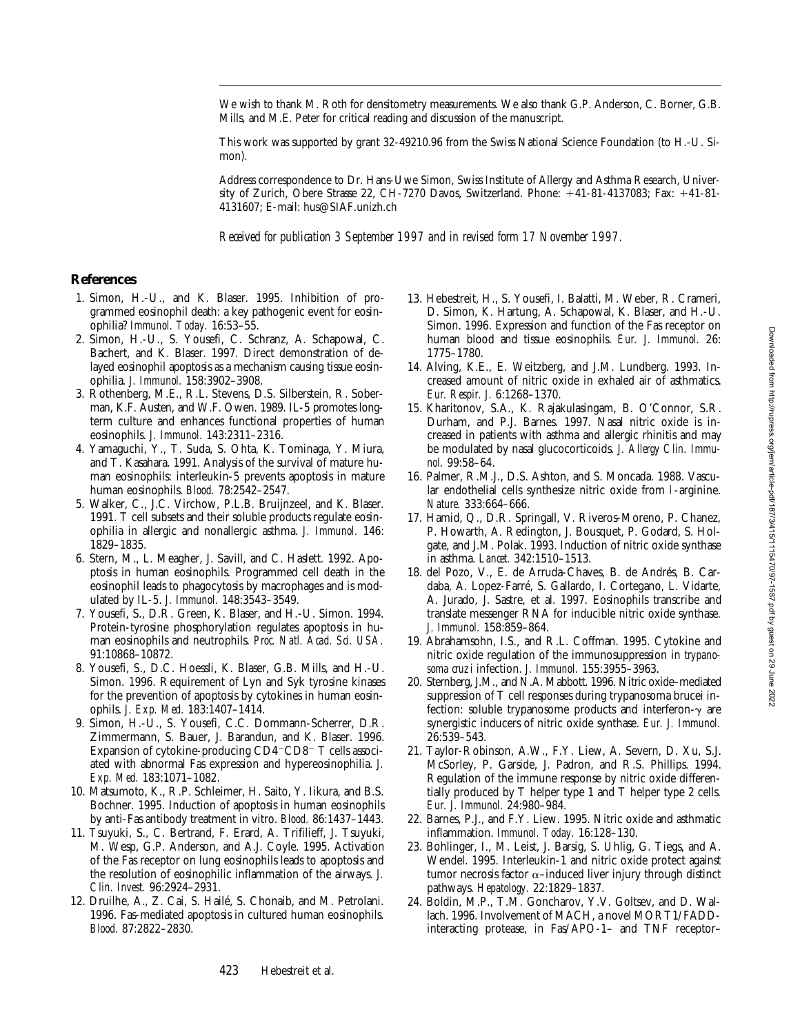We wish to thank M. Roth for densitometry measurements. We also thank G.P. Anderson, C. Borner, G.B. Mills, and M.E. Peter for critical reading and discussion of the manuscript.

This work was supported by grant 32-49210.96 from the Swiss National Science Foundation (to H.-U. Simon).

Address correspondence to Dr. Hans-Uwe Simon, Swiss Institute of Allergy and Asthma Research, University of Zurich, Obere Strasse 22, CH-7270 Davos, Switzerland. Phone: +41-81-4137083; Fax: +41-81-4131607; E-mail: hus@SIAF.unizh.ch

*Received for publication 3 September 1997 and in revised form 17 November 1997.*

## **References**

- 1. Simon, H.-U., and K. Blaser. 1995. Inhibition of programmed eosinophil death: a key pathogenic event for eosinophilia? *Immunol. Today.* 16:53–55.
- 2. Simon, H.-U., S. Yousefi, C. Schranz, A. Schapowal, C. Bachert, and K. Blaser. 1997. Direct demonstration of delayed eosinophil apoptosis as a mechanism causing tissue eosinophilia. *J. Immunol.* 158:3902–3908.
- 3. Rothenberg, M.E., R.L. Stevens, D.S. Silberstein, R. Soberman, K.F. Austen, and W.F. Owen. 1989. IL-5 promotes longterm culture and enhances functional properties of human eosinophils. *J. Immunol.* 143:2311–2316.
- 4. Yamaguchi, Y., T. Suda, S. Ohta, K. Tominaga, Y. Miura, and T. Kasahara. 1991. Analysis of the survival of mature human eosinophils: interleukin-5 prevents apoptosis in mature human eosinophils. *Blood.* 78:2542–2547.
- 5. Walker, C., J.C. Virchow, P.L.B. Bruijnzeel, and K. Blaser. 1991. T cell subsets and their soluble products regulate eosinophilia in allergic and nonallergic asthma. *J. Immunol.* 146: 1829–1835.
- 6. Stern, M., L. Meagher, J. Savill, and C. Haslett. 1992. Apoptosis in human eosinophils. Programmed cell death in the eosinophil leads to phagocytosis by macrophages and is modulated by IL-5. *J. Immunol.* 148:3543–3549.
- 7. Yousefi, S., D.R. Green, K. Blaser, and H.-U. Simon. 1994. Protein-tyrosine phosphorylation regulates apoptosis in human eosinophils and neutrophils. *Proc. Natl. Acad. Sci. USA.* 91:10868–10872.
- 8. Yousefi, S., D.C. Hoessli, K. Blaser, G.B. Mills, and H.-U. Simon. 1996. Requirement of Lyn and Syk tyrosine kinases for the prevention of apoptosis by cytokines in human eosinophils. *J. Exp. Med.* 183:1407–1414.
- 9. Simon, H.-U., S. Yousefi, C.C. Dommann-Scherrer, D.R. Zimmermann, S. Bauer, J. Barandun, and K. Blaser. 1996. Expansion of cytokine-producing  $CD4$ <sup>-</sup> $CD8$ <sup>-</sup> T cells associated with abnormal Fas expression and hypereosinophilia. *J. Exp. Med.* 183:1071–1082.
- 10. Matsumoto, K., R.P. Schleimer, H. Saito, Y. Iikura, and B.S. Bochner. 1995. Induction of apoptosis in human eosinophils by anti-Fas antibody treatment in vitro. *Blood.* 86:1437–1443.
- 11. Tsuyuki, S., C. Bertrand, F. Erard, A. Trifilieff, J. Tsuyuki, M. Wesp, G.P. Anderson, and A.J. Coyle. 1995. Activation of the Fas receptor on lung eosinophils leads to apoptosis and the resolution of eosinophilic inflammation of the airways. *J. Clin. Invest.* 96:2924–2931.
- 12. Druilhe, A., Z. Cai, S. Hailé, S. Chonaib, and M. Petrolani. 1996. Fas-mediated apoptosis in cultured human eosinophils. *Blood.* 87:2822–2830.
- 13. Hebestreit, H., S. Yousefi, I. Balatti, M. Weber, R. Crameri, D. Simon, K. Hartung, A. Schapowal, K. Blaser, and H.-U. Simon. 1996. Expression and function of the Fas receptor on human blood and tissue eosinophils. *Eur. J. Immunol.* 26: 1775–1780.
- 14. Alving, K.E., E. Weitzberg, and J.M. Lundberg. 1993. Increased amount of nitric oxide in exhaled air of asthmatics. *Eur. Respir. J.* 6:1268–1370.
- 15. Kharitonov, S.A., K. Rajakulasingam, B. O'Connor, S.R. Durham, and P.J. Barnes. 1997. Nasal nitric oxide is increased in patients with asthma and allergic rhinitis and may be modulated by nasal glucocorticoids. *J. Allergy Clin. Immunol.* 99:58–64.
- 16. Palmer, R.M.J., D.S. Ashton, and S. Moncada. 1988. Vascular endothelial cells synthesize nitric oxide from l-arginine. *Nature.* 333:664–666.
- 17. Hamid, Q., D.R. Springall, V. Riveros-Moreno, P. Chanez, P. Howarth, A. Redington, J. Bousquet, P. Godard, S. Holgate, and J.M. Polak. 1993. Induction of nitric oxide synthase in asthma. *Lancet.* 342:1510–1513.
- 18. del Pozo, V., E. de Arruda-Chaves, B. de Andrés, B. Cardaba, A. Lopez-Farré, S. Gallardo, I. Cortegano, L. Vidarte, A. Jurado, J. Sastre, et al. 1997. Eosinophils transcribe and translate messenger RNA for inducible nitric oxide synthase. *J. Immunol.* 158:859–864.
- 19. Abrahamsohn, I.S., and R.L. Coffman. 1995. Cytokine and nitric oxide regulation of the immunosuppression in *trypanosoma cruzi* infection. *J. Immunol.* 155:3955–3963.
- 20. Sternberg, J.M., and N.A. Mabbott. 1996. Nitric oxide–mediated suppression of T cell responses during trypanosoma brucei infection: soluble trypanosome products and interferon- $\gamma$  are synergistic inducers of nitric oxide synthase. *Eur. J. Immunol.* 26:539–543.
- 21. Taylor-Robinson, A.W., F.Y. Liew, A. Severn, D. Xu, S.J. McSorley, P. Garside, J. Padron, and R.S. Phillips. 1994. Regulation of the immune response by nitric oxide differentially produced by T helper type 1 and T helper type 2 cells. *Eur. J. Immunol.* 24:980–984.
- 22. Barnes, P.J., and F.Y. Liew. 1995. Nitric oxide and asthmatic inflammation. *Immunol. Today.* 16:128–130.
- 23. Bohlinger, I., M. Leist, J. Barsig, S. Uhlig, G. Tiegs, and A. Wendel. 1995. Interleukin-1 and nitric oxide protect against tumor necrosis factor  $\alpha$ –induced liver injury through distinct pathways. *Hepatology.* 22:1829–1837.
- 24. Boldin, M.P., T.M. Goncharov, Y.V. Goltsev, and D. Wallach. 1996. Involvement of MACH, a novel MORT1/FADDinteracting protease, in Fas/APO-1– and TNF receptor–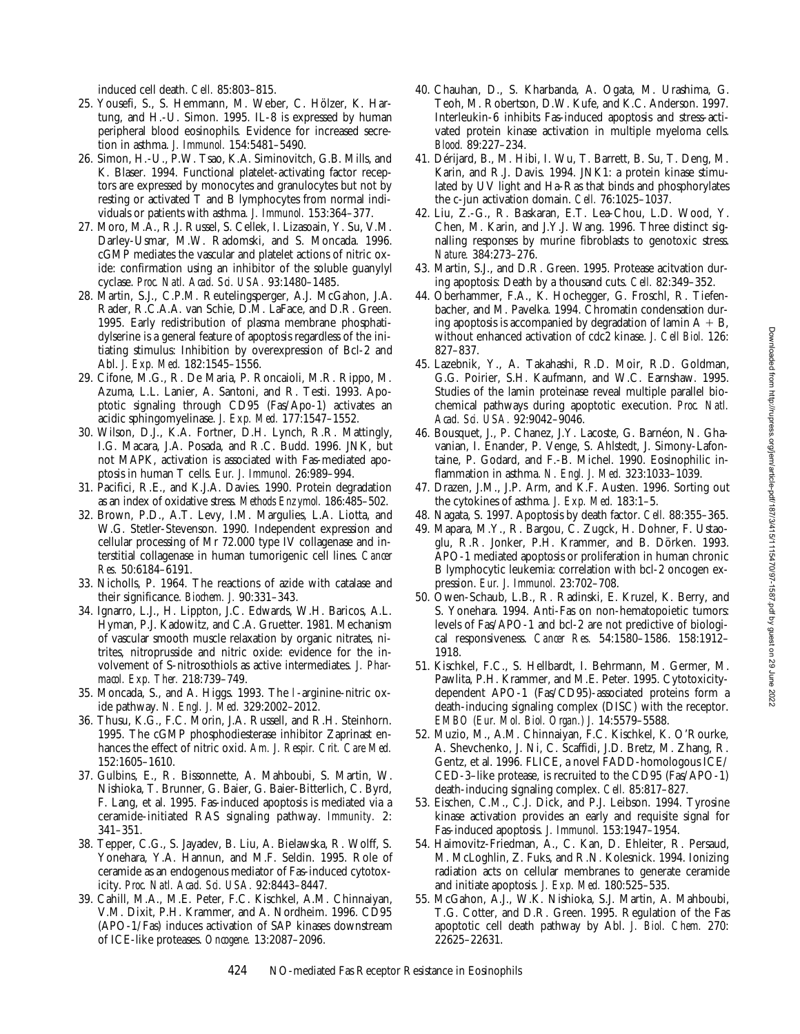induced cell death. *Cell.* 85:803–815.

- 25. Yousefi, S., S. Hemmann, M. Weber, C. Hölzer, K. Hartung, and H.-U. Simon. 1995. IL-8 is expressed by human peripheral blood eosinophils. Evidence for increased secretion in asthma. *J. Immunol.* 154:5481–5490.
- 26. Simon, H.-U., P.W. Tsao, K.A. Siminovitch, G.B. Mills, and K. Blaser. 1994. Functional platelet-activating factor receptors are expressed by monocytes and granulocytes but not by resting or activated T and B lymphocytes from normal individuals or patients with asthma. *J. Immunol.* 153:364–377.
- 27. Moro, M.A., R.J. Russel, S. Cellek, I. Lizasoain, Y. Su, V.M. Darley-Usmar, M.W. Radomski, and S. Moncada. 1996. cGMP mediates the vascular and platelet actions of nitric oxide: confirmation using an inhibitor of the soluble guanylyl cyclase. *Proc. Natl. Acad. Sci. USA.* 93:1480–1485.
- 28. Martin, S.J., C.P.M. Reutelingsperger, A.J. McGahon, J.A. Rader, R.C.A.A. van Schie, D.M. LaFace, and D.R. Green. 1995. Early redistribution of plasma membrane phosphatidylserine is a general feature of apoptosis regardless of the initiating stimulus: Inhibition by overexpression of Bcl-2 and Abl. *J. Exp. Med.* 182:1545–1556.
- 29. Cifone, M.G., R. De Maria, P. Roncaioli, M.R. Rippo, M. Azuma, L.L. Lanier, A. Santoni, and R. Testi. 1993. Apoptotic signaling through CD95 (Fas/Apo-1) activates an acidic sphingomyelinase. *J. Exp. Med.* 177:1547–1552.
- 30. Wilson, D.J., K.A. Fortner, D.H. Lynch, R.R. Mattingly, I.G. Macara, J.A. Posada, and R.C. Budd. 1996. JNK, but not MAPK, activation is associated with Fas-mediated apoptosis in human T cells. *Eur. J. Immunol.* 26:989–994.
- 31. Pacifici, R.E., and K.J.A. Davies. 1990. Protein degradation as an index of oxidative stress. *Methods Enzymol.* 186:485–502.
- 32. Brown, P.D., A.T. Levy, I.M. Margulies, L.A. Liotta, and W.G. Stetler-Stevenson. 1990. Independent expression and cellular processing of Mr 72.000 type IV collagenase and interstitial collagenase in human tumorigenic cell lines. *Cancer Res.* 50:6184–6191.
- 33. Nicholls, P. 1964. The reactions of azide with catalase and their significance. *Biochem. J.* 90:331–343.
- 34. Ignarro, L.J., H. Lippton, J.C. Edwards, W.H. Baricos, A.L. Hyman, P.J. Kadowitz, and C.A. Gruetter. 1981. Mechanism of vascular smooth muscle relaxation by organic nitrates, nitrites, nitroprusside and nitric oxide: evidence for the involvement of S-nitrosothiols as active intermediates. *J. Pharmacol. Exp. Ther.* 218:739–749.
- 35. Moncada, S., and A. Higgs. 1993. The l-arginine-nitric oxide pathway. *N. Engl. J. Med.* 329:2002–2012.
- 36. Thusu, K.G., F.C. Morin, J.A. Russell, and R.H. Steinhorn. 1995. The cGMP phosphodiesterase inhibitor Zaprinast enhances the effect of nitric oxid. *Am. J. Respir. Crit. Care Med.* 152:1605–1610.
- 37. Gulbins, E., R. Bissonnette, A. Mahboubi, S. Martin, W. Nishioka, T. Brunner, G. Baier, G. Baier-Bitterlich, C. Byrd, F. Lang, et al. 1995. Fas-induced apoptosis is mediated via a ceramide-initiated RAS signaling pathway. *Immunity.* 2: 341–351.
- 38. Tepper, C.G., S. Jayadev, B. Liu, A. Bielawska, R. Wolff, S. Yonehara, Y.A. Hannun, and M.F. Seldin. 1995. Role of ceramide as an endogenous mediator of Fas-induced cytotoxicity. *Proc. Natl. Acad. Sci. USA.* 92:8443–8447.
- 39. Cahill, M.A., M.E. Peter, F.C. Kischkel, A.M. Chinnaiyan, V.M. Dixit, P.H. Krammer, and A. Nordheim. 1996. CD95 (APO-1/Fas) induces activation of SAP kinases downstream of ICE-like proteases. *Oncogene.* 13:2087–2096.
- 40. Chauhan, D., S. Kharbanda, A. Ogata, M. Urashima, G. Teoh, M. Robertson, D.W. Kufe, and K.C. Anderson. 1997. Interleukin-6 inhibits Fas-induced apoptosis and stress-activated protein kinase activation in multiple myeloma cells. *Blood.* 89:227–234.
- 41. Dérijard, B., M. Hibi, I. Wu, T. Barrett, B. Su, T. Deng, M. Karin, and R.J. Davis. 1994. JNK1: a protein kinase stimulated by UV light and Ha-Ras that binds and phosphorylates the c-jun activation domain. *Cell.* 76:1025–1037.
- 42. Liu, Z.-G., R. Baskaran, E.T. Lea-Chou, L.D. Wood, Y. Chen, M. Karin, and J.Y.J. Wang. 1996. Three distinct signalling responses by murine fibroblasts to genotoxic stress. *Nature.* 384:273–276.
- 43. Martin, S.J., and D.R. Green. 1995. Protease acitvation during apoptosis: Death by a thousand cuts. *Cell.* 82:349–352.
- 44. Oberhammer, F.A., K. Hochegger, G. Froschl, R. Tiefenbacher, and M. Pavelka. 1994. Chromatin condensation during apoptosis is accompanied by degradation of lamin  $A + B$ , without enhanced activation of cdc2 kinase. *J. Cell Biol.* 126: 827–837.
- 45. Lazebnik, Y., A. Takahashi, R.D. Moir, R.D. Goldman, G.G. Poirier, S.H. Kaufmann, and W.C. Earnshaw. 1995. Studies of the lamin proteinase reveal multiple parallel biochemical pathways during apoptotic execution. *Proc. Natl. Acad. Sci. USA.* 92:9042–9046.
- 46. Bousquet, J., P. Chanez, J.Y. Lacoste, G. Barnéon, N. Ghavanian, I. Enander, P. Venge, S. Ahlstedt, J. Simony-Lafontaine, P. Godard, and F.-B. Michel. 1990. Eosinophilic inflammation in asthma. *N. Engl. J. Med.* 323:1033–1039.
- 47. Drazen, J.M., J.P. Arm, and K.F. Austen. 1996. Sorting out the cytokines of asthma. *J. Exp. Med.* 183:1–5.
- 48. Nagata, S. 1997. Apoptosis by death factor. *Cell.* 88:355–365.
- 49. Mapara, M.Y., R. Bargou, C. Zugck, H. Dohner, F. Ustaoglu, R.R. Jonker, P.H. Krammer, and B. Dörken. 1993. APO-1 mediated apoptosis or proliferation in human chronic B lymphocytic leukemia: correlation with bcl-2 oncogen expression. *Eur. J. Immunol.* 23:702–708.
- 50. Owen-Schaub, L.B., R. Radinski, E. Kruzel, K. Berry, and S. Yonehara. 1994. Anti-Fas on non-hematopoietic tumors: levels of Fas/APO-1 and bcl-2 are not predictive of biological responsiveness. *Cancer Res.* 54:1580–1586. 158:1912– 1918.
- 51. Kischkel, F.C., S. Hellbardt, I. Behrmann, M. Germer, M. Pawlita, P.H. Krammer, and M.E. Peter. 1995. Cytotoxicitydependent APO-1 (Fas/CD95)-associated proteins form a death-inducing signaling complex (DISC) with the receptor. *EMBO (Eur. Mol. Biol. Organ.) J.* 14:5579–5588.
- 52. Muzio, M., A.M. Chinnaiyan, F.C. Kischkel, K. O'Rourke, A. Shevchenko, J. Ni, C. Scaffidi, J.D. Bretz, M. Zhang, R. Gentz, et al. 1996. FLICE, a novel FADD-homologous ICE/ CED-3–like protease, is recruited to the CD95 (Fas/APO-1) death-inducing signaling complex. *Cell.* 85:817–827.
- 53. Eischen, C.M., C.J. Dick, and P.J. Leibson. 1994. Tyrosine kinase activation provides an early and requisite signal for Fas-induced apoptosis. *J. Immunol.* 153:1947–1954.
- 54. Haimovitz-Friedman, A., C. Kan, D. Ehleiter, R. Persaud, M. McLoghlin, Z. Fuks, and R.N. Kolesnick. 1994. Ionizing radiation acts on cellular membranes to generate ceramide and initiate apoptosis. *J. Exp. Med.* 180:525–535.
- 55. McGahon, A.J., W.K. Nishioka, S.J. Martin, A. Mahboubi, T.G. Cotter, and D.R. Green. 1995. Regulation of the Fas apoptotic cell death pathway by Abl. *J. Biol. Chem.* 270: 22625–22631.